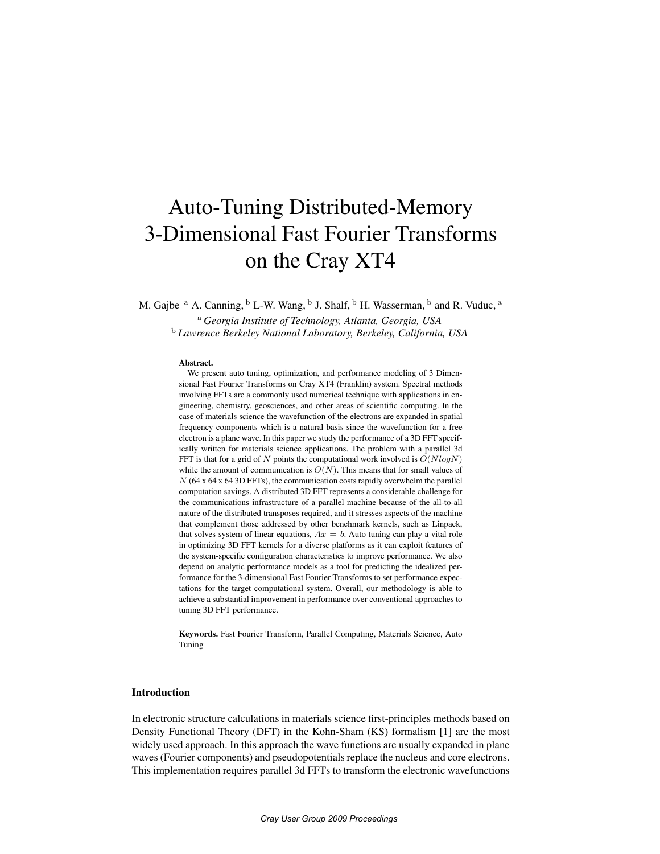# Auto-Tuning Distributed-Memory 3-Dimensional Fast Fourier Transforms on the Cray XT4

M. Gajbe  $^{\rm a}$  A. Canning,  $^{\rm b}$  L-W. Wang,  $^{\rm b}$  J. Shalf,  $^{\rm b}$  H. Wasserman,  $^{\rm b}$  and R. Vuduc,  $^{\rm a}$ 

<sup>a</sup> *Georgia Institute of Technology, Atlanta, Georgia, USA* <sup>b</sup> *Lawrence Berkeley National Laboratory, Berkeley, California, USA*

#### Abstract.

We present auto tuning, optimization, and performance modeling of 3 Dimensional Fast Fourier Transforms on Cray XT4 (Franklin) system. Spectral methods involving FFTs are a commonly used numerical technique with applications in engineering, chemistry, geosciences, and other areas of scientific computing. In the case of materials science the wavefunction of the electrons are expanded in spatial frequency components which is a natural basis since the wavefunction for a free electron is a plane wave. In this paper we study the performance of a 3D FFT specifically written for materials science applications. The problem with a parallel 3d FFT is that for a grid of N points the computational work involved is  $O(N \log N)$ while the amount of communication is  $O(N)$ . This means that for small values of  $N$  (64 x 64 x 64 3D FFTs), the communication costs rapidly overwhelm the parallel computation savings. A distributed 3D FFT represents a considerable challenge for the communications infrastructure of a parallel machine because of the all-to-all nature of the distributed transposes required, and it stresses aspects of the machine that complement those addressed by other benchmark kernels, such as Linpack, that solves system of linear equations,  $Ax = b$ . Auto tuning can play a vital role in optimizing 3D FFT kernels for a diverse platforms as it can exploit features of the system-specific configuration characteristics to improve performance. We also depend on analytic performance models as a tool for predicting the idealized performance for the 3-dimensional Fast Fourier Transforms to set performance expectations for the target computational system. Overall, our methodology is able to achieve a substantial improvement in performance over conventional approaches to tuning 3D FFT performance.

Keywords. Fast Fourier Transform, Parallel Computing, Materials Science, Auto Tuning

# Introduction

In electronic structure calculations in materials science first-principles methods based on Density Functional Theory (DFT) in the Kohn-Sham (KS) formalism [1] are the most widely used approach. In this approach the wave functions are usually expanded in plane waves (Fourier components) and pseudopotentials replace the nucleus and core electrons. This implementation requires parallel 3d FFTs to transform the electronic wavefunctions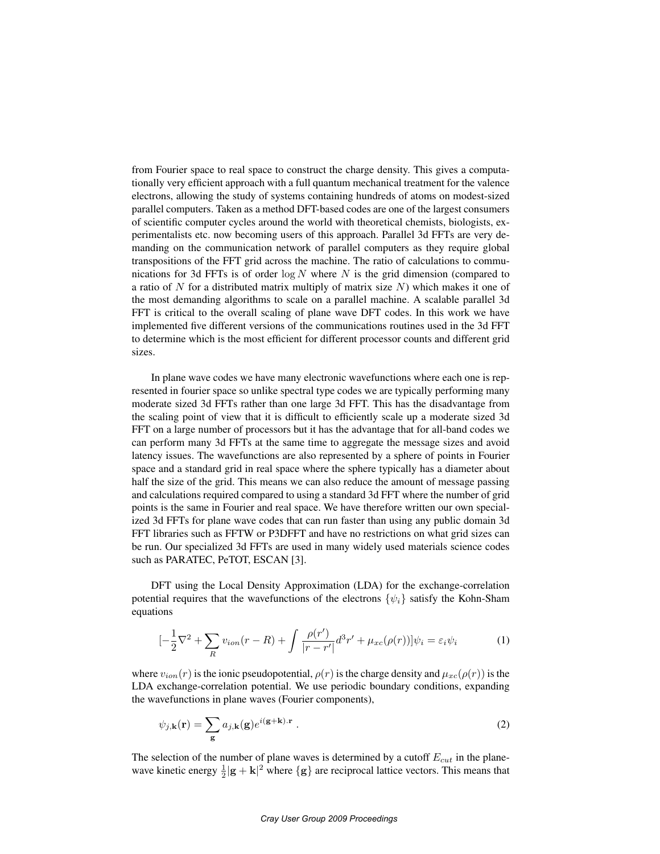from Fourier space to real space to construct the charge density. This gives a computationally very efficient approach with a full quantum mechanical treatment for the valence electrons, allowing the study of systems containing hundreds of atoms on modest-sized parallel computers. Taken as a method DFT-based codes are one of the largest consumers of scientific computer cycles around the world with theoretical chemists, biologists, experimentalists etc. now becoming users of this approach. Parallel 3d FFTs are very demanding on the communication network of parallel computers as they require global transpositions of the FFT grid across the machine. The ratio of calculations to communications for 3d FFTs is of order  $\log N$  where N is the grid dimension (compared to a ratio of N for a distributed matrix multiply of matrix size  $N$ ) which makes it one of the most demanding algorithms to scale on a parallel machine. A scalable parallel 3d FFT is critical to the overall scaling of plane wave DFT codes. In this work we have implemented five different versions of the communications routines used in the 3d FFT to determine which is the most efficient for different processor counts and different grid sizes.

In plane wave codes we have many electronic wavefunctions where each one is represented in fourier space so unlike spectral type codes we are typically performing many moderate sized 3d FFTs rather than one large 3d FFT. This has the disadvantage from the scaling point of view that it is difficult to efficiently scale up a moderate sized 3d FFT on a large number of processors but it has the advantage that for all-band codes we can perform many 3d FFTs at the same time to aggregate the message sizes and avoid latency issues. The wavefunctions are also represented by a sphere of points in Fourier space and a standard grid in real space where the sphere typically has a diameter about half the size of the grid. This means we can also reduce the amount of message passing and calculations required compared to using a standard 3d FFT where the number of grid points is the same in Fourier and real space. We have therefore written our own specialized 3d FFTs for plane wave codes that can run faster than using any public domain 3d FFT libraries such as FFTW or P3DFFT and have no restrictions on what grid sizes can be run. Our specialized 3d FFTs are used in many widely used materials science codes such as PARATEC, PeTOT, ESCAN [3].

DFT using the Local Density Approximation (LDA) for the exchange-correlation potential requires that the wavefunctions of the electrons  $\{\psi_i\}$  satisfy the Kohn-Sham equations

$$
\left[-\frac{1}{2}\nabla^2 + \sum_R v_{ion}(r - R) + \int \frac{\rho(r')}{|r - r'|} d^3r' + \mu_{xc}(\rho(r))\right]\psi_i = \varepsilon_i \psi_i \tag{1}
$$

where  $v_{ion}(r)$  is the ionic pseudopotential,  $\rho(r)$  is the charge density and  $\mu_{xc}(\rho(r))$  is the LDA exchange-correlation potential. We use periodic boundary conditions, expanding the wavefunctions in plane waves (Fourier components),

$$
\psi_{j,\mathbf{k}}(\mathbf{r}) = \sum_{\mathbf{g}} a_{j,\mathbf{k}}(\mathbf{g}) e^{i(\mathbf{g} + \mathbf{k}) \cdot \mathbf{r}} \ . \tag{2}
$$

The selection of the number of plane waves is determined by a cutoff  $E_{cut}$  in the planewave kinetic energy  $\frac{1}{2}|\mathbf{g} + \mathbf{k}|^2$  where  $\{\mathbf{g}\}\$  are reciprocal lattice vectors. This means that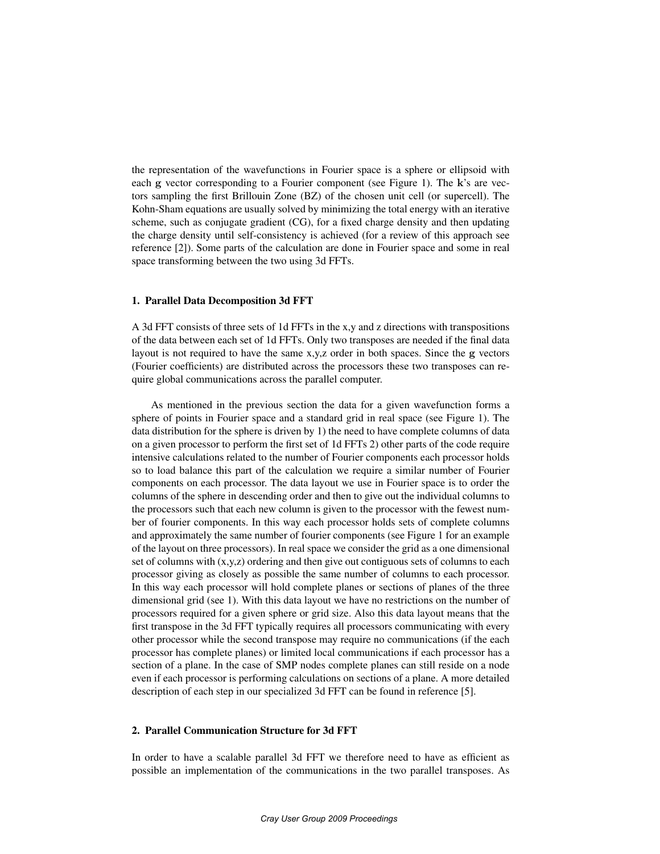the representation of the wavefunctions in Fourier space is a sphere or ellipsoid with each g vector corresponding to a Fourier component (see Figure 1). The k's are vectors sampling the first Brillouin Zone (BZ) of the chosen unit cell (or supercell). The Kohn-Sham equations are usually solved by minimizing the total energy with an iterative scheme, such as conjugate gradient (CG), for a fixed charge density and then updating the charge density until self-consistency is achieved (for a review of this approach see reference [2]). Some parts of the calculation are done in Fourier space and some in real space transforming between the two using 3d FFTs.

# 1. Parallel Data Decomposition 3d FFT

A 3d FFT consists of three sets of 1d FFTs in the x,y and z directions with transpositions of the data between each set of 1d FFTs. Only two transposes are needed if the final data layout is not required to have the same x,y,z order in both spaces. Since the g vectors (Fourier coefficients) are distributed across the processors these two transposes can require global communications across the parallel computer.

As mentioned in the previous section the data for a given wavefunction forms a sphere of points in Fourier space and a standard grid in real space (see Figure 1). The data distribution for the sphere is driven by 1) the need to have complete columns of data on a given processor to perform the first set of 1d FFTs 2) other parts of the code require intensive calculations related to the number of Fourier components each processor holds so to load balance this part of the calculation we require a similar number of Fourier components on each processor. The data layout we use in Fourier space is to order the columns of the sphere in descending order and then to give out the individual columns to the processors such that each new column is given to the processor with the fewest number of fourier components. In this way each processor holds sets of complete columns and approximately the same number of fourier components (see Figure 1 for an example of the layout on three processors). In real space we consider the grid as a one dimensional set of columns with  $(x,y,z)$  ordering and then give out contiguous sets of columns to each processor giving as closely as possible the same number of columns to each processor. In this way each processor will hold complete planes or sections of planes of the three dimensional grid (see 1). With this data layout we have no restrictions on the number of processors required for a given sphere or grid size. Also this data layout means that the first transpose in the 3d FFT typically requires all processors communicating with every other processor while the second transpose may require no communications (if the each processor has complete planes) or limited local communications if each processor has a section of a plane. In the case of SMP nodes complete planes can still reside on a node even if each processor is performing calculations on sections of a plane. A more detailed description of each step in our specialized 3d FFT can be found in reference [5].

## 2. Parallel Communication Structure for 3d FFT

In order to have a scalable parallel 3d FFT we therefore need to have as efficient as possible an implementation of the communications in the two parallel transposes. As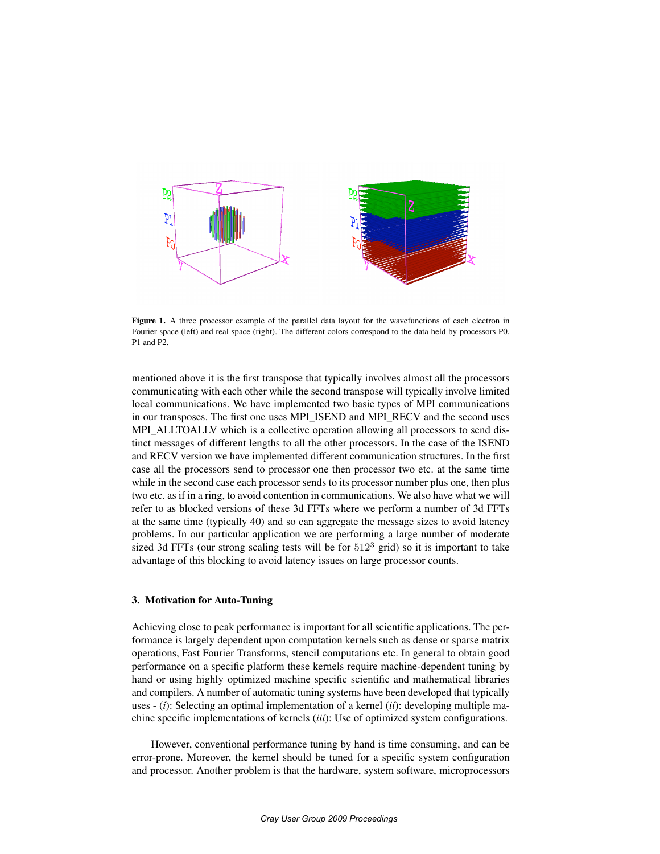

Figure 1. A three processor example of the parallel data layout for the wavefunctions of each electron in Fourier space (left) and real space (right). The different colors correspond to the data held by processors P0, P1 and P2.

mentioned above it is the first transpose that typically involves almost all the processors communicating with each other while the second transpose will typically involve limited local communications. We have implemented two basic types of MPI communications in our transposes. The first one uses MPI\_ISEND and MPI\_RECV and the second uses MPI\_ALLTOALLV which is a collective operation allowing all processors to send distinct messages of different lengths to all the other processors. In the case of the ISEND and RECV version we have implemented different communication structures. In the first case all the processors send to processor one then processor two etc. at the same time while in the second case each processor sends to its processor number plus one, then plus two etc. as if in a ring, to avoid contention in communications. We also have what we will refer to as blocked versions of these 3d FFTs where we perform a number of 3d FFTs at the same time (typically 40) and so can aggregate the message sizes to avoid latency problems. In our particular application we are performing a large number of moderate sized 3d FFTs (our strong scaling tests will be for  $512<sup>3</sup>$  grid) so it is important to take advantage of this blocking to avoid latency issues on large processor counts.

# 3. Motivation for Auto-Tuning

Achieving close to peak performance is important for all scientific applications. The performance is largely dependent upon computation kernels such as dense or sparse matrix operations, Fast Fourier Transforms, stencil computations etc. In general to obtain good performance on a specific platform these kernels require machine-dependent tuning by hand or using highly optimized machine specific scientific and mathematical libraries and compilers. A number of automatic tuning systems have been developed that typically uses - (*i*): Selecting an optimal implementation of a kernel (*ii*): developing multiple machine specific implementations of kernels (*iii*): Use of optimized system configurations.

However, conventional performance tuning by hand is time consuming, and can be error-prone. Moreover, the kernel should be tuned for a specific system configuration and processor. Another problem is that the hardware, system software, microprocessors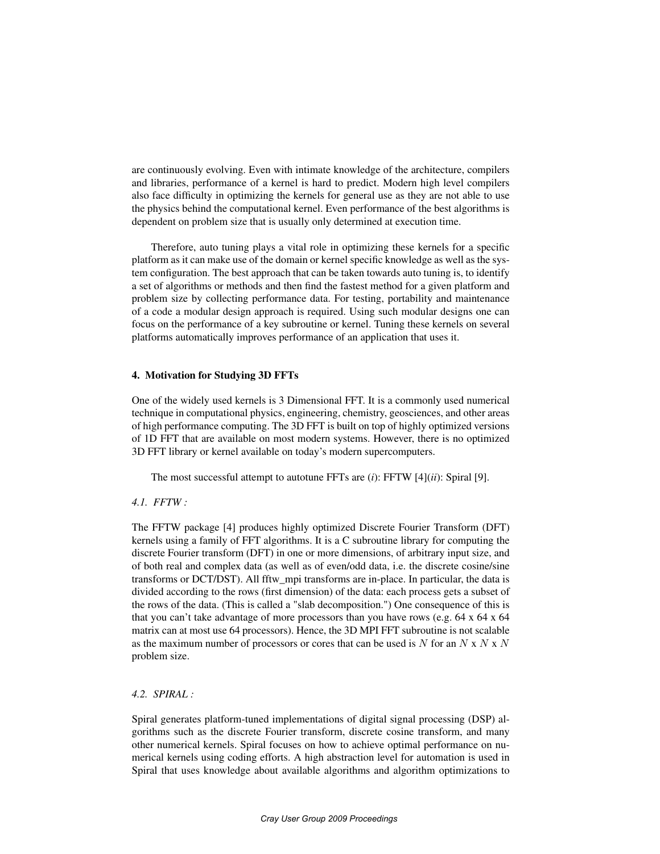are continuously evolving. Even with intimate knowledge of the architecture, compilers and libraries, performance of a kernel is hard to predict. Modern high level compilers also face difficulty in optimizing the kernels for general use as they are not able to use the physics behind the computational kernel. Even performance of the best algorithms is dependent on problem size that is usually only determined at execution time.

Therefore, auto tuning plays a vital role in optimizing these kernels for a specific platform as it can make use of the domain or kernel specific knowledge as well as the system configuration. The best approach that can be taken towards auto tuning is, to identify a set of algorithms or methods and then find the fastest method for a given platform and problem size by collecting performance data. For testing, portability and maintenance of a code a modular design approach is required. Using such modular designs one can focus on the performance of a key subroutine or kernel. Tuning these kernels on several platforms automatically improves performance of an application that uses it.

# 4. Motivation for Studying 3D FFTs

One of the widely used kernels is 3 Dimensional FFT. It is a commonly used numerical technique in computational physics, engineering, chemistry, geosciences, and other areas of high performance computing. The 3D FFT is built on top of highly optimized versions of 1D FFT that are available on most modern systems. However, there is no optimized 3D FFT library or kernel available on today's modern supercomputers.

The most successful attempt to autotune FFTs are (*i*): FFTW [4](*ii*): Spiral [9].

# *4.1. FFTW :*

The FFTW package [4] produces highly optimized Discrete Fourier Transform (DFT) kernels using a family of FFT algorithms. It is a C subroutine library for computing the discrete Fourier transform (DFT) in one or more dimensions, of arbitrary input size, and of both real and complex data (as well as of even/odd data, i.e. the discrete cosine/sine transforms or DCT/DST). All fftw\_mpi transforms are in-place. In particular, the data is divided according to the rows (first dimension) of the data: each process gets a subset of the rows of the data. (This is called a "slab decomposition.") One consequence of this is that you can't take advantage of more processors than you have rows (e.g.  $64 \times 64 \times 64$ matrix can at most use 64 processors). Hence, the 3D MPI FFT subroutine is not scalable as the maximum number of processors or cores that can be used is  $N$  for an  $N \times N \times N$ problem size.

# *4.2. SPIRAL :*

Spiral generates platform-tuned implementations of digital signal processing (DSP) algorithms such as the discrete Fourier transform, discrete cosine transform, and many other numerical kernels. Spiral focuses on how to achieve optimal performance on numerical kernels using coding efforts. A high abstraction level for automation is used in Spiral that uses knowledge about available algorithms and algorithm optimizations to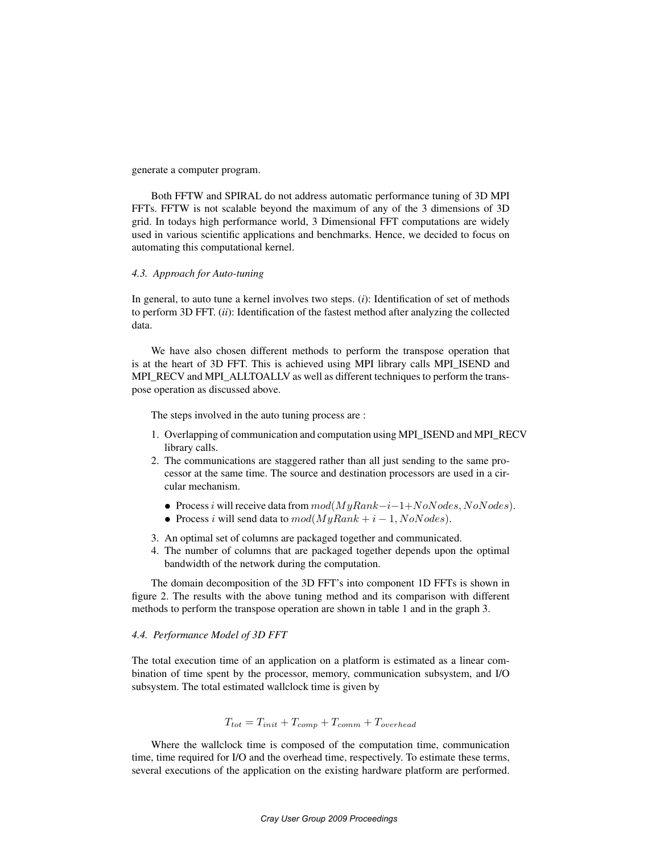generate a computer program.

Both FFTW and SPIRAL do not address automatic performance tuning of 3D MPI FFTs. FFTW is not scalable beyond the maximum of any of the 3 dimensions of 3D grid. In todays high performance world, 3 Dimensional FFT computations are widely used in various scientific applications and benchmarks. Hence, we decided to focus on automating this computational kernel.

# *4.3. Approach for Auto-tuning*

In general, to auto tune a kernel involves two steps. (*i*): Identification of set of methods to perform 3D FFT. (*ii*): Identification of the fastest method after analyzing the collected data.

We have also chosen different methods to perform the transpose operation that is at the heart of 3D FFT. This is achieved using MPI library calls MPI\_ISEND and MPI\_RECV and MPI\_ALLTOALLV as well as different techniques to perform the transpose operation as discussed above.

The steps involved in the auto tuning process are :

- 1. Overlapping of communication and computation using MPI\_ISEND and MPI\_RECV library calls.
- 2. The communications are staggered rather than all just sending to the same processor at the same time. The source and destination processors are used in a circular mechanism.
	- Process i will receive data from  $mod(MyRank-i-1+NoNodes, NoNodes)$ .
	- Process i will send data to  $mod(MyRank + i 1, NoNodes)$ .
- 3. An optimal set of columns are packaged together and communicated.
- 4. The number of columns that are packaged together depends upon the optimal bandwidth of the network during the computation.

The domain decomposition of the 3D FFT's into component 1D FFTs is shown in figure 2. The results with the above tuning method and its comparison with different methods to perform the transpose operation are shown in table 1 and in the graph 3.

# *4.4. Performance Model of 3D FFT*

The total execution time of an application on a platform is estimated as a linear combination of time spent by the processor, memory, communication subsystem, and I/O subsystem. The total estimated wallclock time is given by

$$
T_{tot} = T_{init} + T_{comp} + T_{comm} + T_{overhead}
$$

Where the wallclock time is composed of the computation time, communication time, time required for I/O and the overhead time, respectively. To estimate these terms, several executions of the application on the existing hardware platform are performed.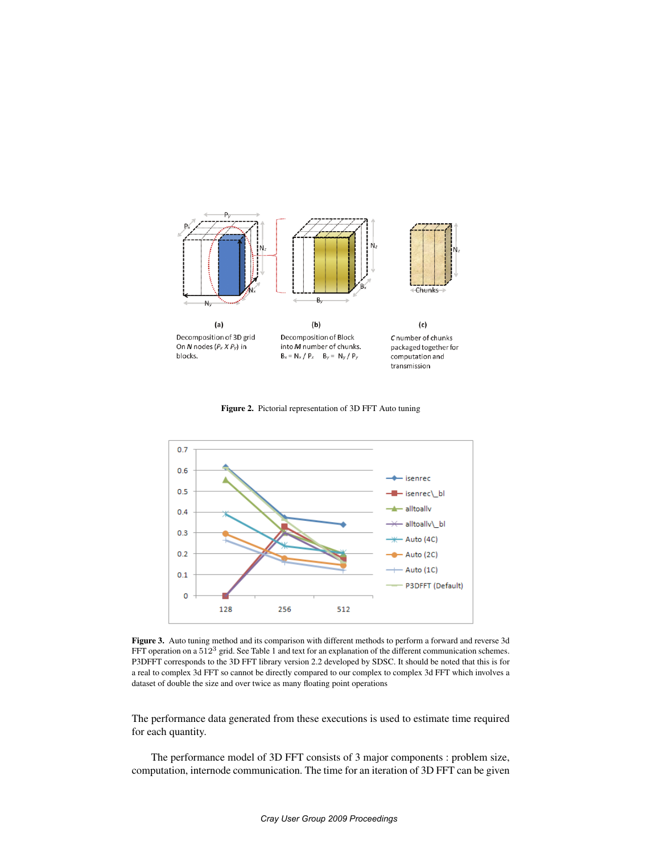





Figure 3. Auto tuning method and its comparison with different methods to perform a forward and reverse 3d FFT operation on a  $512<sup>3</sup>$  grid. See Table 1 and text for an explanation of the different communication schemes. P3DFFT corresponds to the 3D FFT library version 2.2 developed by SDSC. It should be noted that this is for a real to complex 3d FFT so cannot be directly compared to our complex to complex 3d FFT which involves a dataset of double the size and over twice as many floating point operations

The performance data generated from these executions is used to estimate time required for each quantity.

The performance model of 3D FFT consists of 3 major components : problem size, computation, internode communication. The time for an iteration of 3D FFT can be given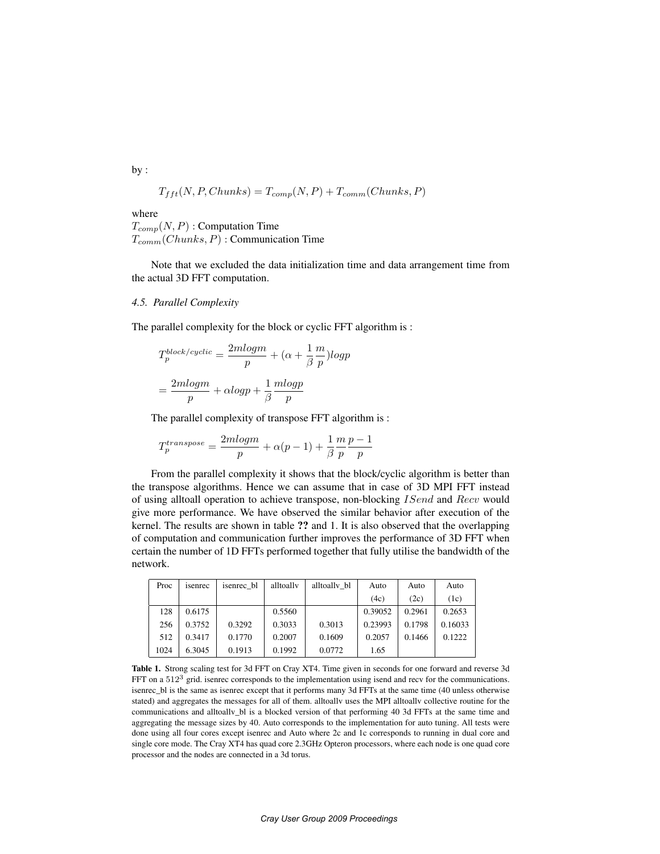by :

$$
T_{fft}(N, P, Chunks) = T_{comp}(N, P) + T_{comm}(Chunks, P)
$$

where

 $T_{comp}(N, P)$ : Computation Time  $T_{comm}(Chunks, P)$ : Communication Time

Note that we excluded the data initialization time and data arrangement time from the actual 3D FFT computation.

#### *4.5. Parallel Complexity*

The parallel complexity for the block or cyclic FFT algorithm is :

$$
T_p^{block/cyclic} = \frac{2mlogm}{p} + (\alpha + \frac{1}{\beta} \frac{m}{p})logp
$$

$$
= \frac{2mlogm}{p} + \alpha logp + \frac{1}{\beta} \frac{mlogp}{p}
$$

The parallel complexity of transpose FFT algorithm is :

$$
T_p^{transpose} = \frac{2mlogm}{p} + \alpha(p-1) + \frac{1}{\beta} \frac{m}{p} \frac{p-1}{p}
$$

From the parallel complexity it shows that the block/cyclic algorithm is better than the transpose algorithms. Hence we can assume that in case of 3D MPI FFT instead of using alltoall operation to achieve transpose, non-blocking ISend and Recv would give more performance. We have observed the similar behavior after execution of the kernel. The results are shown in table ?? and 1. It is also observed that the overlapping of computation and communication further improves the performance of 3D FFT when certain the number of 1D FFTs performed together that fully utilise the bandwidth of the network.

| Proc | isenrec | isenrec bl | alltoally | alltoally bl | Auto    | Auto   | Auto    |
|------|---------|------------|-----------|--------------|---------|--------|---------|
|      |         |            |           |              | (4c)    | (2c)   | (1c)    |
| 128  | 0.6175  |            | 0.5560    |              | 0.39052 | 0.2961 | 0.2653  |
| 256  | 0.3752  | 0.3292     | 0.3033    | 0.3013       | 0.23993 | 0.1798 | 0.16033 |
| 512  | 0.3417  | 0.1770     | 0.2007    | 0.1609       | 0.2057  | 0.1466 | 0.1222  |
| 1024 | 6.3045  | 0.1913     | 0.1992    | 0.0772       | 1.65    |        |         |

Table 1. Strong scaling test for 3d FFT on Cray XT4. Time given in seconds for one forward and reverse 3d FFT on a 512<sup>3</sup> grid. isenrec corresponds to the implementation using isend and recv for the communications. isenrec\_bl is the same as isenrec except that it performs many 3d FFTs at the same time (40 unless otherwise stated) and aggregates the messages for all of them. alltoallv uses the MPI alltoallv collective routine for the communications and alltoallv\_bl is a blocked version of that performing 40 3d FFTs at the same time and aggregating the message sizes by 40. Auto corresponds to the implementation for auto tuning. All tests were done using all four cores except isenrec and Auto where 2c and 1c corresponds to running in dual core and single core mode. The Cray XT4 has quad core 2.3GHz Opteron processors, where each node is one quad core processor and the nodes are connected in a 3d torus.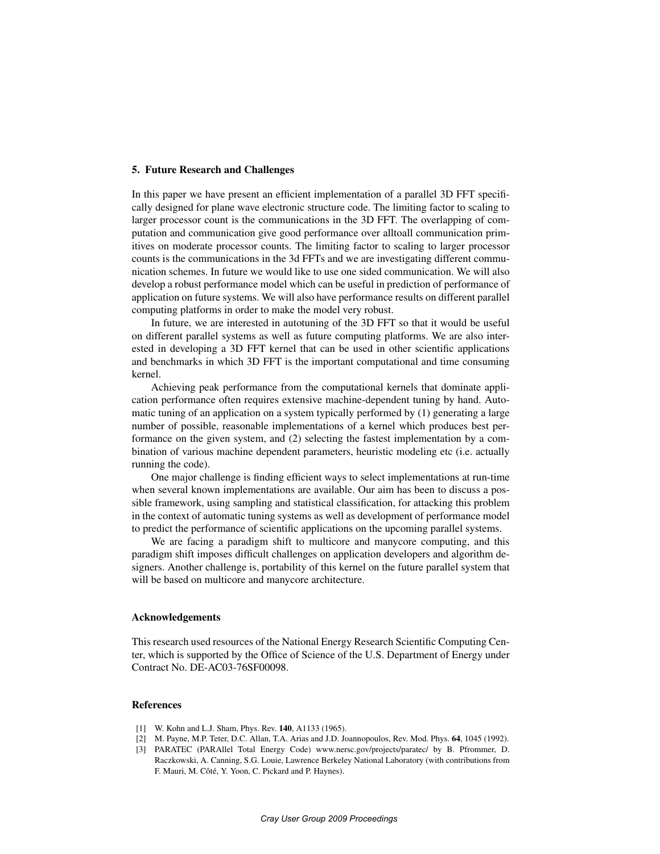# 5. Future Research and Challenges

In this paper we have present an efficient implementation of a parallel 3D FFT specifically designed for plane wave electronic structure code. The limiting factor to scaling to larger processor count is the communications in the 3D FFT. The overlapping of computation and communication give good performance over alltoall communication primitives on moderate processor counts. The limiting factor to scaling to larger processor counts is the communications in the 3d FFTs and we are investigating different communication schemes. In future we would like to use one sided communication. We will also develop a robust performance model which can be useful in prediction of performance of application on future systems. We will also have performance results on different parallel computing platforms in order to make the model very robust.

In future, we are interested in autotuning of the 3D FFT so that it would be useful on different parallel systems as well as future computing platforms. We are also interested in developing a 3D FFT kernel that can be used in other scientific applications and benchmarks in which 3D FFT is the important computational and time consuming kernel.

Achieving peak performance from the computational kernels that dominate application performance often requires extensive machine-dependent tuning by hand. Automatic tuning of an application on a system typically performed by (1) generating a large number of possible, reasonable implementations of a kernel which produces best performance on the given system, and (2) selecting the fastest implementation by a combination of various machine dependent parameters, heuristic modeling etc (i.e. actually running the code).

One major challenge is finding efficient ways to select implementations at run-time when several known implementations are available. Our aim has been to discuss a possible framework, using sampling and statistical classification, for attacking this problem in the context of automatic tuning systems as well as development of performance model to predict the performance of scientific applications on the upcoming parallel systems.

We are facing a paradigm shift to multicore and manycore computing, and this paradigm shift imposes difficult challenges on application developers and algorithm designers. Another challenge is, portability of this kernel on the future parallel system that will be based on multicore and manycore architecture.

#### Acknowledgements

This research used resources of the National Energy Research Scientific Computing Center, which is supported by the Office of Science of the U.S. Department of Energy under Contract No. DE-AC03-76SF00098.

#### References

- [1] W. Kohn and L.J. Sham, Phys. Rev. 140, A1133 (1965).
- [2] M. Payne, M.P. Teter, D.C. Allan, T.A. Arias and J.D. Joannopoulos, Rev. Mod. Phys. 64, 1045 (1992).
- [3] PARATEC (PARAllel Total Energy Code) www.nersc.gov/projects/paratec/ by B. Pfrommer, D. Raczkowski, A. Canning, S.G. Louie, Lawrence Berkeley National Laboratory (with contributions from F. Mauri, M. Côté, Y. Yoon, C. Pickard and P. Haynes).